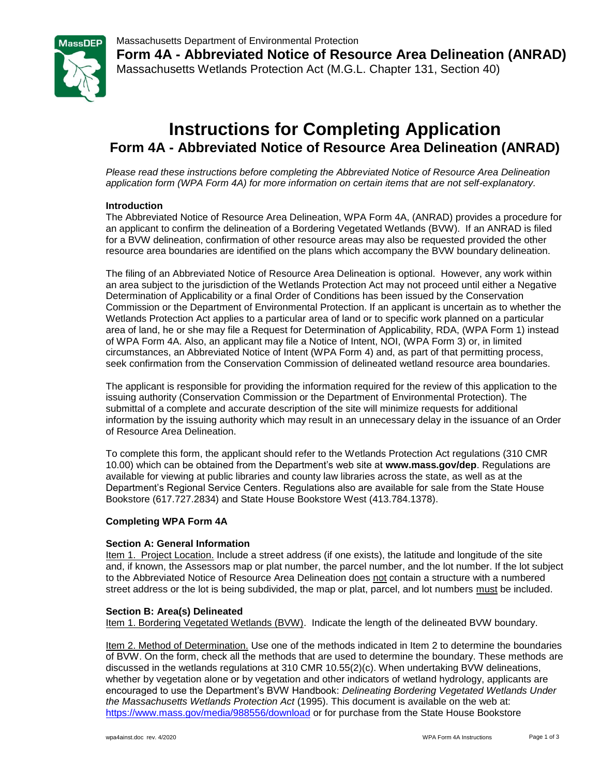

**Form 4A - Abbreviated Notice of Resource Area Delineation (ANRAD)** Massachusetts Wetlands Protection Act (M.G.L. Chapter 131, Section 40)

# **Instructions for Completing Application Form 4A - Abbreviated Notice of Resource Area Delineation (ANRAD)**

*Please read these instructions before completing the Abbreviated Notice of Resource Area Delineation application form (WPA Form 4A) for more information on certain items that are not self-explanatory.*

### **Introduction**

The Abbreviated Notice of Resource Area Delineation, WPA Form 4A, (ANRAD) provides a procedure for an applicant to confirm the delineation of a Bordering Vegetated Wetlands (BVW). If an ANRAD is filed for a BVW delineation, confirmation of other resource areas may also be requested provided the other resource area boundaries are identified on the plans which accompany the BVW boundary delineation.

The filing of an Abbreviated Notice of Resource Area Delineation is optional. However, any work within an area subject to the jurisdiction of the Wetlands Protection Act may not proceed until either a Negative Determination of Applicability or a final Order of Conditions has been issued by the Conservation Commission or the Department of Environmental Protection. If an applicant is uncertain as to whether the Wetlands Protection Act applies to a particular area of land or to specific work planned on a particular area of land, he or she may file a Request for Determination of Applicability, RDA, (WPA Form 1) instead of WPA Form 4A. Also, an applicant may file a Notice of Intent, NOI, (WPA Form 3) or, in limited circumstances, an Abbreviated Notice of Intent (WPA Form 4) and, as part of that permitting process, seek confirmation from the Conservation Commission of delineated wetland resource area boundaries.

The applicant is responsible for providing the information required for the review of this application to the issuing authority (Conservation Commission or the Department of Environmental Protection). The submittal of a complete and accurate description of the site will minimize requests for additional information by the issuing authority which may result in an unnecessary delay in the issuance of an Order of Resource Area Delineation.

To complete this form, the applicant should refer to the Wetlands Protection Act regulations (310 CMR 10.00) which can be obtained from the Department's web site at **www.mass.gov/dep**. Regulations are available for viewing at public libraries and county law libraries across the state, as well as at the Department's Regional Service Centers. Regulations also are available for sale from the State House Bookstore (617.727.2834) and State House Bookstore West (413.784.1378).

#### **Completing WPA Form 4A**

### **Section A: General Information**

Item 1. Project Location. Include a street address (if one exists), the latitude and longitude of the site and, if known, the Assessors map or plat number, the parcel number, and the lot number. If the lot subject to the Abbreviated Notice of Resource Area Delineation does not contain a structure with a numbered street address or the lot is being subdivided, the map or plat, parcel, and lot numbers must be included.

#### **Section B: Area(s) Delineated**

Item 1. Bordering Vegetated Wetlands (BVW).Indicate the length of the delineated BVW boundary.

Item 2. Method of Determination. Use one of the methods indicated in Item 2 to determine the boundaries of BVW. On the form, check all the methods that are used to determine the boundary. These methods are discussed in the wetlands regulations at 310 CMR 10.55(2)(c). When undertaking BVW delineations, whether by vegetation alone or by vegetation and other indicators of wetland hydrology, applicants are encouraged to use the Department's BVW Handbook: *Delineating Bordering Vegetated Wetlands Under the Massachusetts Wetlands Protection Act* (1995). This document is available on the web at: <https://www.mass.gov/media/988556/download> or for purchase from the State House Bookstore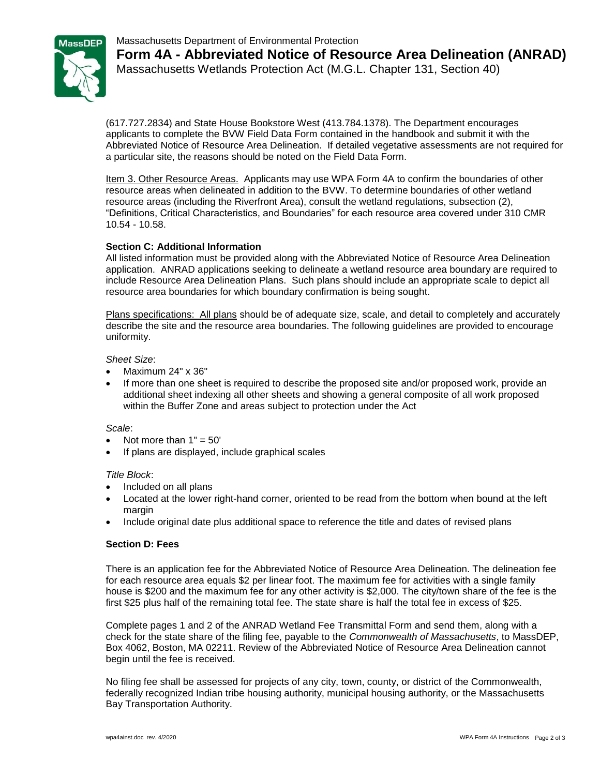



**Form 4A - Abbreviated Notice of Resource Area Delineation (ANRAD)** Massachusetts Wetlands Protection Act (M.G.L. Chapter 131, Section 40)

(617.727.2834) and State House Bookstore West (413.784.1378). The Department encourages applicants to complete the BVW Field Data Form contained in the handbook and submit it with the Abbreviated Notice of Resource Area Delineation. If detailed vegetative assessments are not required for a particular site, the reasons should be noted on the Field Data Form.

Item 3. Other Resource Areas. Applicants may use WPA Form 4A to confirm the boundaries of other resource areas when delineated in addition to the BVW. To determine boundaries of other wetland resource areas (including the Riverfront Area), consult the wetland regulations, subsection (2), "Definitions, Critical Characteristics, and Boundaries" for each resource area covered under 310 CMR 10.54 - 10.58.

### **Section C: Additional Information**

All listed information must be provided along with the Abbreviated Notice of Resource Area Delineation application. ANRAD applications seeking to delineate a wetland resource area boundary are required to include Resource Area Delineation Plans. Such plans should include an appropriate scale to depict all resource area boundaries for which boundary confirmation is being sought.

Plans specifications: All plans should be of adequate size, scale, and detail to completely and accurately describe the site and the resource area boundaries. The following guidelines are provided to encourage uniformity.

### *Sheet Size*:

- $\bullet$  Maximum 24" x 36"
- If more than one sheet is required to describe the proposed site and/or proposed work, provide an additional sheet indexing all other sheets and showing a general composite of all work proposed within the Buffer Zone and areas subject to protection under the Act

### *Scale*:

- Not more than  $1" = 50'$
- If plans are displayed, include graphical scales

### *Title Block*:

- Included on all plans
- Located at the lower right-hand corner, oriented to be read from the bottom when bound at the left margin
- Include original date plus additional space to reference the title and dates of revised plans

## **Section D: Fees**

There is an application fee for the Abbreviated Notice of Resource Area Delineation. The delineation fee for each resource area equals \$2 per linear foot. The maximum fee for activities with a single family house is \$200 and the maximum fee for any other activity is \$2,000. The city/town share of the fee is the first \$25 plus half of the remaining total fee. The state share is half the total fee in excess of \$25.

Complete pages 1 and 2 of the ANRAD Wetland Fee Transmittal Form and send them, along with a check for the state share of the filing fee, payable to the *Commonwealth of Massachusetts*, to MassDEP, Box 4062, Boston, MA 02211. Review of the Abbreviated Notice of Resource Area Delineation cannot begin until the fee is received.

No filing fee shall be assessed for projects of any city, town, county, or district of the Commonwealth, federally recognized Indian tribe housing authority, municipal housing authority, or the Massachusetts Bay Transportation Authority.